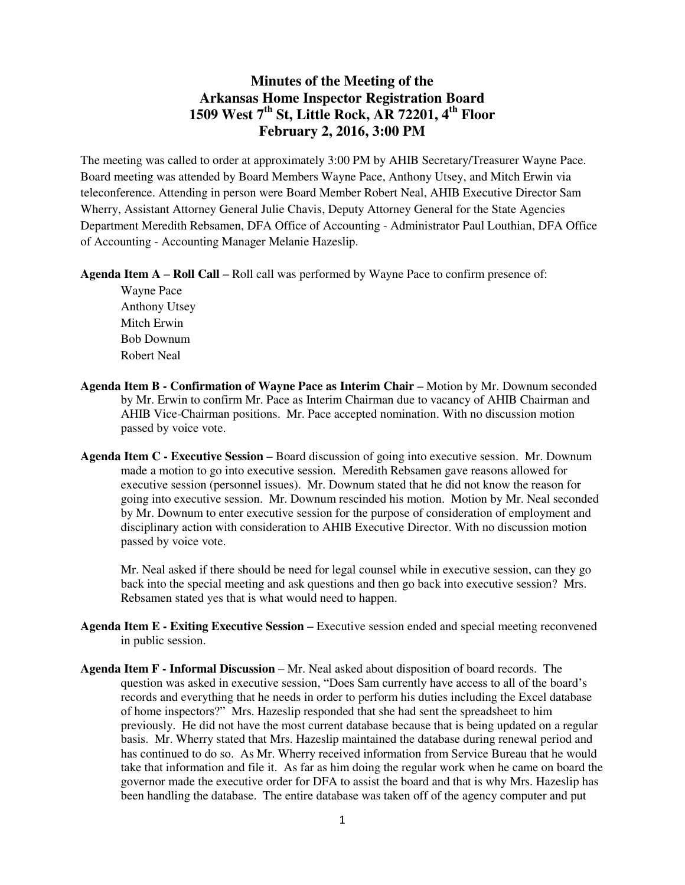## **Minutes of the Meeting of the Arkansas Home Inspector Registration Board 1509 West 7th St, Little Rock, AR 72201, 4th Floor February 2, 2016, 3:00 PM**

The meeting was called to order at approximately 3:00 PM by AHIB Secretary/Treasurer Wayne Pace. Board meeting was attended by Board Members Wayne Pace, Anthony Utsey, and Mitch Erwin via teleconference. Attending in person were Board Member Robert Neal, AHIB Executive Director Sam Wherry, Assistant Attorney General Julie Chavis, Deputy Attorney General for the State Agencies Department Meredith Rebsamen, DFA Office of Accounting - Administrator Paul Louthian, DFA Office of Accounting - Accounting Manager Melanie Hazeslip.

**Agenda Item A – Roll Call –** Roll call was performed by Wayne Pace to confirm presence of:

 Wayne Pace Anthony Utsey Mitch Erwin Bob Downum Robert Neal

- Agenda Item B Confirmation of Wayne Pace as Interim Chair Motion by Mr. Downum seconded by Mr. Erwin to confirm Mr. Pace as Interim Chairman due to vacancy of AHIB Chairman and AHIB Vice-Chairman positions. Mr. Pace accepted nomination. With no discussion motion passed by voice vote.
- **Agenda Item C Executive Session –** Board discussion of going into executive session. Mr. Downum made a motion to go into executive session. Meredith Rebsamen gave reasons allowed for executive session (personnel issues). Mr. Downum stated that he did not know the reason for going into executive session. Mr. Downum rescinded his motion. Motion by Mr. Neal seconded by Mr. Downum to enter executive session for the purpose of consideration of employment and disciplinary action with consideration to AHIB Executive Director. With no discussion motion passed by voice vote.

 Mr. Neal asked if there should be need for legal counsel while in executive session, can they go back into the special meeting and ask questions and then go back into executive session? Mrs. Rebsamen stated yes that is what would need to happen.

- **Agenda Item E Exiting Executive Session –** Executive session ended and special meeting reconvened in public session.
- **Agenda Item F Informal Discussion –** Mr. Neal asked about disposition of board records. The question was asked in executive session, "Does Sam currently have access to all of the board's records and everything that he needs in order to perform his duties including the Excel database of home inspectors?" Mrs. Hazeslip responded that she had sent the spreadsheet to him previously. He did not have the most current database because that is being updated on a regular basis. Mr. Wherry stated that Mrs. Hazeslip maintained the database during renewal period and has continued to do so. As Mr. Wherry received information from Service Bureau that he would take that information and file it. As far as him doing the regular work when he came on board the governor made the executive order for DFA to assist the board and that is why Mrs. Hazeslip has been handling the database. The entire database was taken off of the agency computer and put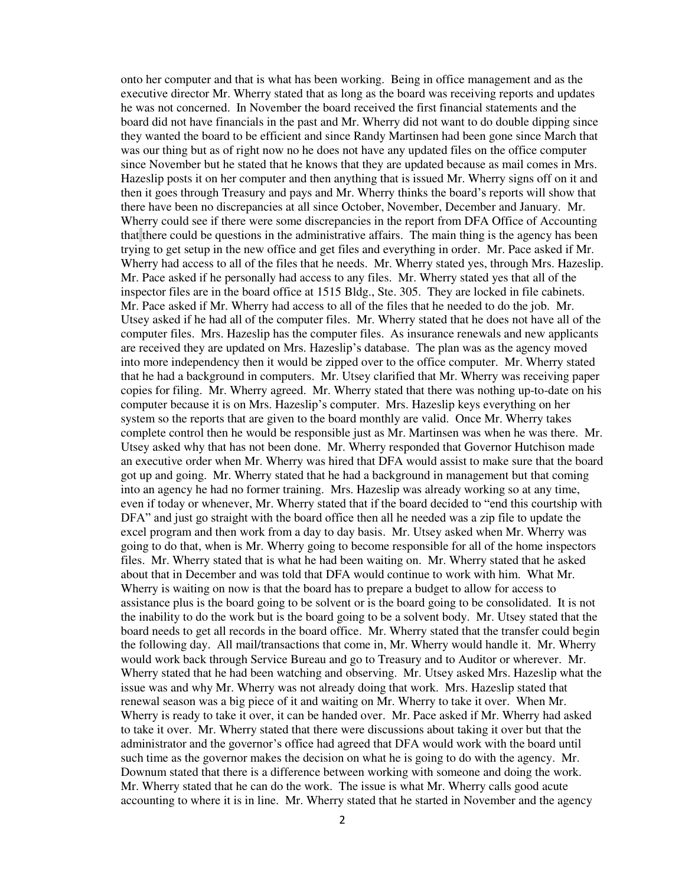onto her computer and that is what has been working. Being in office management and as the executive director Mr. Wherry stated that as long as the board was receiving reports and updates he was not concerned. In November the board received the first financial statements and the board did not have financials in the past and Mr. Wherry did not want to do double dipping since they wanted the board to be efficient and since Randy Martinsen had been gone since March that was our thing but as of right now no he does not have any updated files on the office computer since November but he stated that he knows that they are updated because as mail comes in Mrs. Hazeslip posts it on her computer and then anything that is issued Mr. Wherry signs off on it and then it goes through Treasury and pays and Mr. Wherry thinks the board's reports will show that there have been no discrepancies at all since October, November, December and January. Mr. Wherry could see if there were some discrepancies in the report from DFA Office of Accounting that there could be questions in the administrative affairs. The main thing is the agency has been trying to get setup in the new office and get files and everything in order. Mr. Pace asked if Mr. Wherry had access to all of the files that he needs. Mr. Wherry stated yes, through Mrs. Hazeslip. Mr. Pace asked if he personally had access to any files. Mr. Wherry stated yes that all of the inspector files are in the board office at 1515 Bldg., Ste. 305. They are locked in file cabinets. Mr. Pace asked if Mr. Wherry had access to all of the files that he needed to do the job. Mr. Utsey asked if he had all of the computer files. Mr. Wherry stated that he does not have all of the computer files. Mrs. Hazeslip has the computer files. As insurance renewals and new applicants are received they are updated on Mrs. Hazeslip's database. The plan was as the agency moved into more independency then it would be zipped over to the office computer. Mr. Wherry stated that he had a background in computers. Mr. Utsey clarified that Mr. Wherry was receiving paper copies for filing. Mr. Wherry agreed. Mr. Wherry stated that there was nothing up-to-date on his computer because it is on Mrs. Hazeslip's computer. Mrs. Hazeslip keys everything on her system so the reports that are given to the board monthly are valid. Once Mr. Wherry takes complete control then he would be responsible just as Mr. Martinsen was when he was there. Mr. Utsey asked why that has not been done. Mr. Wherry responded that Governor Hutchison made an executive order when Mr. Wherry was hired that DFA would assist to make sure that the board got up and going. Mr. Wherry stated that he had a background in management but that coming into an agency he had no former training. Mrs. Hazeslip was already working so at any time, even if today or whenever, Mr. Wherry stated that if the board decided to "end this courtship with DFA" and just go straight with the board office then all he needed was a zip file to update the excel program and then work from a day to day basis. Mr. Utsey asked when Mr. Wherry was going to do that, when is Mr. Wherry going to become responsible for all of the home inspectors files. Mr. Wherry stated that is what he had been waiting on. Mr. Wherry stated that he asked about that in December and was told that DFA would continue to work with him. What Mr. Wherry is waiting on now is that the board has to prepare a budget to allow for access to assistance plus is the board going to be solvent or is the board going to be consolidated. It is not the inability to do the work but is the board going to be a solvent body. Mr. Utsey stated that the board needs to get all records in the board office. Mr. Wherry stated that the transfer could begin the following day. All mail/transactions that come in, Mr. Wherry would handle it. Mr. Wherry would work back through Service Bureau and go to Treasury and to Auditor or wherever. Mr. Wherry stated that he had been watching and observing. Mr. Utsey asked Mrs. Hazeslip what the issue was and why Mr. Wherry was not already doing that work. Mrs. Hazeslip stated that renewal season was a big piece of it and waiting on Mr. Wherry to take it over. When Mr. Wherry is ready to take it over, it can be handed over. Mr. Pace asked if Mr. Wherry had asked to take it over. Mr. Wherry stated that there were discussions about taking it over but that the administrator and the governor's office had agreed that DFA would work with the board until such time as the governor makes the decision on what he is going to do with the agency. Mr. Downum stated that there is a difference between working with someone and doing the work. Mr. Wherry stated that he can do the work. The issue is what Mr. Wherry calls good acute accounting to where it is in line. Mr. Wherry stated that he started in November and the agency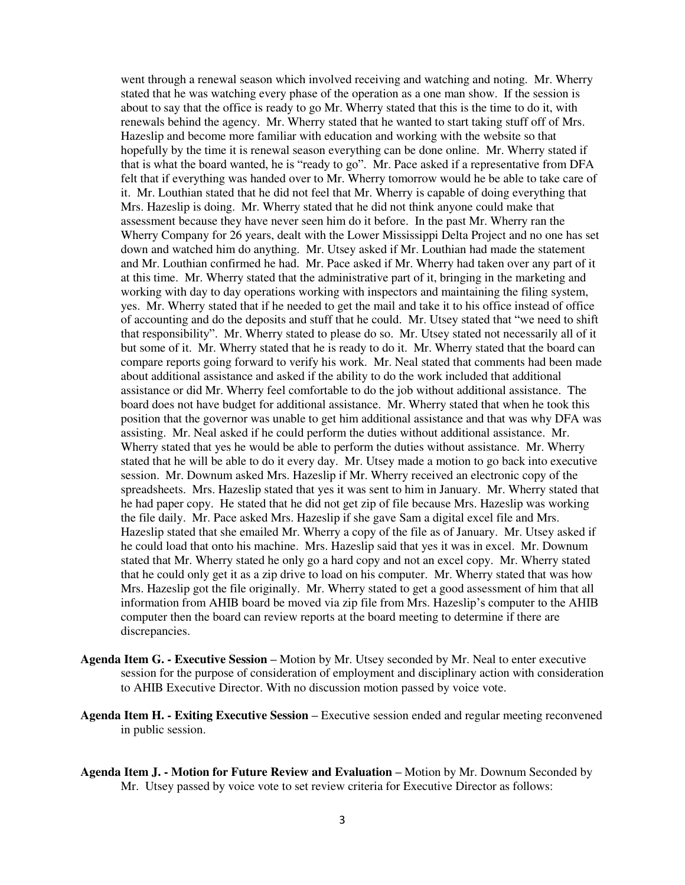went through a renewal season which involved receiving and watching and noting. Mr. Wherry stated that he was watching every phase of the operation as a one man show. If the session is about to say that the office is ready to go Mr. Wherry stated that this is the time to do it, with renewals behind the agency. Mr. Wherry stated that he wanted to start taking stuff off of Mrs. Hazeslip and become more familiar with education and working with the website so that hopefully by the time it is renewal season everything can be done online. Mr. Wherry stated if that is what the board wanted, he is "ready to go". Mr. Pace asked if a representative from DFA felt that if everything was handed over to Mr. Wherry tomorrow would he be able to take care of it. Mr. Louthian stated that he did not feel that Mr. Wherry is capable of doing everything that Mrs. Hazeslip is doing. Mr. Wherry stated that he did not think anyone could make that assessment because they have never seen him do it before. In the past Mr. Wherry ran the Wherry Company for 26 years, dealt with the Lower Mississippi Delta Project and no one has set down and watched him do anything. Mr. Utsey asked if Mr. Louthian had made the statement and Mr. Louthian confirmed he had. Mr. Pace asked if Mr. Wherry had taken over any part of it at this time. Mr. Wherry stated that the administrative part of it, bringing in the marketing and working with day to day operations working with inspectors and maintaining the filing system, yes. Mr. Wherry stated that if he needed to get the mail and take it to his office instead of office of accounting and do the deposits and stuff that he could. Mr. Utsey stated that "we need to shift that responsibility". Mr. Wherry stated to please do so. Mr. Utsey stated not necessarily all of it but some of it. Mr. Wherry stated that he is ready to do it. Mr. Wherry stated that the board can compare reports going forward to verify his work. Mr. Neal stated that comments had been made about additional assistance and asked if the ability to do the work included that additional assistance or did Mr. Wherry feel comfortable to do the job without additional assistance. The board does not have budget for additional assistance. Mr. Wherry stated that when he took this position that the governor was unable to get him additional assistance and that was why DFA was assisting. Mr. Neal asked if he could perform the duties without additional assistance. Mr. Wherry stated that yes he would be able to perform the duties without assistance. Mr. Wherry stated that he will be able to do it every day. Mr. Utsey made a motion to go back into executive session. Mr. Downum asked Mrs. Hazeslip if Mr. Wherry received an electronic copy of the spreadsheets. Mrs. Hazeslip stated that yes it was sent to him in January. Mr. Wherry stated that he had paper copy. He stated that he did not get zip of file because Mrs. Hazeslip was working the file daily. Mr. Pace asked Mrs. Hazeslip if she gave Sam a digital excel file and Mrs. Hazeslip stated that she emailed Mr. Wherry a copy of the file as of January. Mr. Utsey asked if he could load that onto his machine. Mrs. Hazeslip said that yes it was in excel. Mr. Downum stated that Mr. Wherry stated he only go a hard copy and not an excel copy. Mr. Wherry stated that he could only get it as a zip drive to load on his computer. Mr. Wherry stated that was how Mrs. Hazeslip got the file originally. Mr. Wherry stated to get a good assessment of him that all information from AHIB board be moved via zip file from Mrs. Hazeslip's computer to the AHIB computer then the board can review reports at the board meeting to determine if there are discrepancies.

- **Agenda Item G. Executive Session –** Motion by Mr. Utsey seconded by Mr. Neal to enter executive session for the purpose of consideration of employment and disciplinary action with consideration to AHIB Executive Director. With no discussion motion passed by voice vote.
- **Agenda Item H. Exiting Executive Session –** Executive session ended and regular meeting reconvened in public session.
- **Agenda Item J. Motion for Future Review and Evaluation –** Motion by Mr. Downum Seconded by Mr. Utsey passed by voice vote to set review criteria for Executive Director as follows: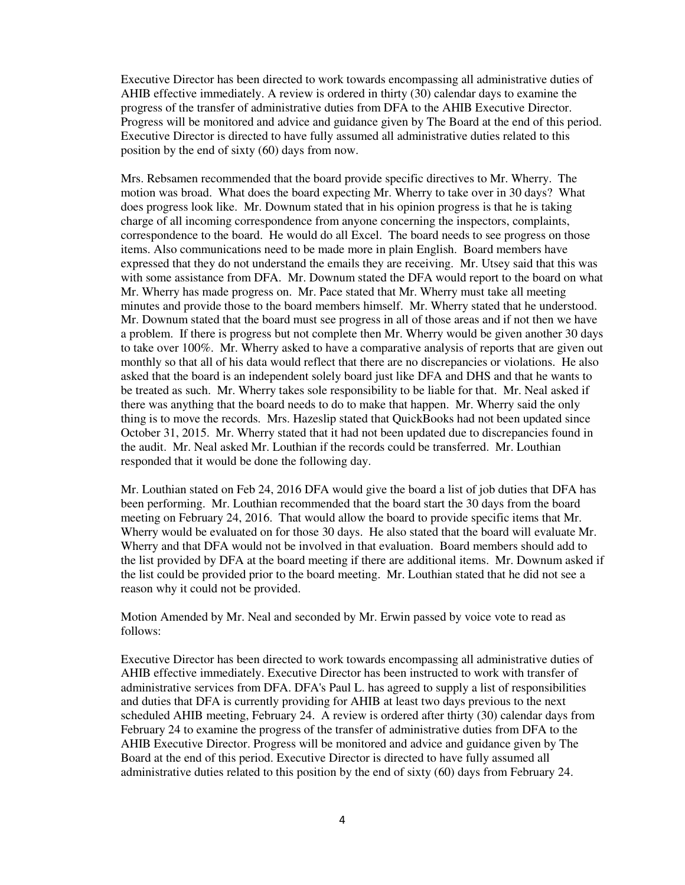Executive Director has been directed to work towards encompassing all administrative duties of AHIB effective immediately. A review is ordered in thirty (30) calendar days to examine the progress of the transfer of administrative duties from DFA to the AHIB Executive Director. Progress will be monitored and advice and guidance given by The Board at the end of this period. Executive Director is directed to have fully assumed all administrative duties related to this position by the end of sixty (60) days from now.

Mrs. Rebsamen recommended that the board provide specific directives to Mr. Wherry. The motion was broad. What does the board expecting Mr. Wherry to take over in 30 days? What does progress look like. Mr. Downum stated that in his opinion progress is that he is taking charge of all incoming correspondence from anyone concerning the inspectors, complaints, correspondence to the board. He would do all Excel. The board needs to see progress on those items. Also communications need to be made more in plain English. Board members have expressed that they do not understand the emails they are receiving. Mr. Utsey said that this was with some assistance from DFA. Mr. Downum stated the DFA would report to the board on what Mr. Wherry has made progress on. Mr. Pace stated that Mr. Wherry must take all meeting minutes and provide those to the board members himself. Mr. Wherry stated that he understood. Mr. Downum stated that the board must see progress in all of those areas and if not then we have a problem. If there is progress but not complete then Mr. Wherry would be given another 30 days to take over 100%. Mr. Wherry asked to have a comparative analysis of reports that are given out monthly so that all of his data would reflect that there are no discrepancies or violations. He also asked that the board is an independent solely board just like DFA and DHS and that he wants to be treated as such. Mr. Wherry takes sole responsibility to be liable for that. Mr. Neal asked if there was anything that the board needs to do to make that happen. Mr. Wherry said the only thing is to move the records. Mrs. Hazeslip stated that QuickBooks had not been updated since October 31, 2015. Mr. Wherry stated that it had not been updated due to discrepancies found in the audit. Mr. Neal asked Mr. Louthian if the records could be transferred. Mr. Louthian responded that it would be done the following day.

Mr. Louthian stated on Feb 24, 2016 DFA would give the board a list of job duties that DFA has been performing. Mr. Louthian recommended that the board start the 30 days from the board meeting on February 24, 2016. That would allow the board to provide specific items that Mr. Wherry would be evaluated on for those 30 days. He also stated that the board will evaluate Mr. Wherry and that DFA would not be involved in that evaluation. Board members should add to the list provided by DFA at the board meeting if there are additional items. Mr. Downum asked if the list could be provided prior to the board meeting. Mr. Louthian stated that he did not see a reason why it could not be provided.

Motion Amended by Mr. Neal and seconded by Mr. Erwin passed by voice vote to read as follows:

Executive Director has been directed to work towards encompassing all administrative duties of AHIB effective immediately. Executive Director has been instructed to work with transfer of administrative services from DFA. DFA's Paul L. has agreed to supply a list of responsibilities and duties that DFA is currently providing for AHIB at least two days previous to the next scheduled AHIB meeting, February 24. A review is ordered after thirty (30) calendar days from February 24 to examine the progress of the transfer of administrative duties from DFA to the AHIB Executive Director. Progress will be monitored and advice and guidance given by The Board at the end of this period. Executive Director is directed to have fully assumed all administrative duties related to this position by the end of sixty (60) days from February 24.